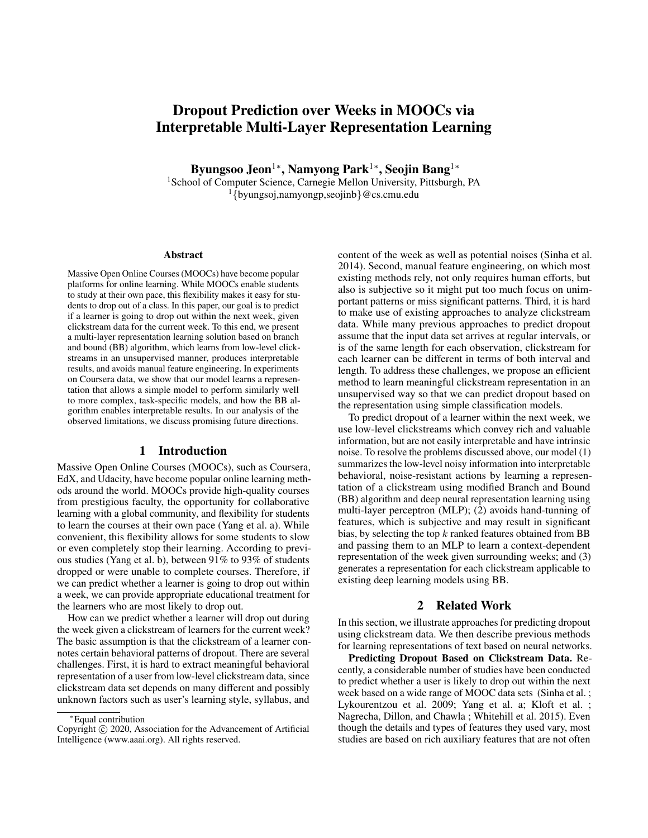# Dropout Prediction over Weeks in MOOCs via Interpretable Multi-Layer Representation Learning

Byungsoo Jeon $^{1*}$ , Namyong Park $^{1*}$ , Seojin Bang $^{1*}$ 

<sup>1</sup>School of Computer Science, Carnegie Mellon University, Pittsburgh, PA <sup>1</sup>{byungsoj,namyongp,seojinb}@cs.cmu.edu

#### Abstract

Massive Open Online Courses (MOOCs) have become popular platforms for online learning. While MOOCs enable students to study at their own pace, this flexibility makes it easy for students to drop out of a class. In this paper, our goal is to predict if a learner is going to drop out within the next week, given clickstream data for the current week. To this end, we present a multi-layer representation learning solution based on branch and bound (BB) algorithm, which learns from low-level clickstreams in an unsupervised manner, produces interpretable results, and avoids manual feature engineering. In experiments on Coursera data, we show that our model learns a representation that allows a simple model to perform similarly well to more complex, task-specific models, and how the BB algorithm enables interpretable results. In our analysis of the observed limitations, we discuss promising future directions.

## 1 Introduction

Massive Open Online Courses (MOOCs), such as Coursera, EdX, and Udacity, have become popular online learning methods around the world. MOOCs provide high-quality courses from prestigious faculty, the opportunity for collaborative learning with a global community, and flexibility for students to learn the courses at their own pace (Yang et al. a). While convenient, this flexibility allows for some students to slow or even completely stop their learning. According to previous studies (Yang et al. b), between 91% to 93% of students dropped or were unable to complete courses. Therefore, if we can predict whether a learner is going to drop out within a week, we can provide appropriate educational treatment for the learners who are most likely to drop out.

How can we predict whether a learner will drop out during the week given a clickstream of learners for the current week? The basic assumption is that the clickstream of a learner connotes certain behavioral patterns of dropout. There are several challenges. First, it is hard to extract meaningful behavioral representation of a user from low-level clickstream data, since clickstream data set depends on many different and possibly unknown factors such as user's learning style, syllabus, and

content of the week as well as potential noises (Sinha et al. 2014). Second, manual feature engineering, on which most existing methods rely, not only requires human efforts, but also is subjective so it might put too much focus on unimportant patterns or miss significant patterns. Third, it is hard to make use of existing approaches to analyze clickstream data. While many previous approaches to predict dropout assume that the input data set arrives at regular intervals, or is of the same length for each observation, clickstream for each learner can be different in terms of both interval and length. To address these challenges, we propose an efficient method to learn meaningful clickstream representation in an unsupervised way so that we can predict dropout based on the representation using simple classification models.

To predict dropout of a learner within the next week, we use low-level clickstreams which convey rich and valuable information, but are not easily interpretable and have intrinsic noise. To resolve the problems discussed above, our model (1) summarizes the low-level noisy information into interpretable behavioral, noise-resistant actions by learning a representation of a clickstream using modified Branch and Bound (BB) algorithm and deep neural representation learning using multi-layer perceptron (MLP); (2) avoids hand-tunning of features, which is subjective and may result in significant bias, by selecting the top  $k$  ranked features obtained from BB and passing them to an MLP to learn a context-dependent representation of the week given surrounding weeks; and (3) generates a representation for each clickstream applicable to existing deep learning models using BB.

## 2 Related Work

In this section, we illustrate approaches for predicting dropout using clickstream data. We then describe previous methods for learning representations of text based on neural networks.

Predicting Dropout Based on Clickstream Data. Recently, a considerable number of studies have been conducted to predict whether a user is likely to drop out within the next week based on a wide range of MOOC data sets (Sinha et al. ; Lykourentzou et al. 2009; Yang et al. a; Kloft et al. ; Nagrecha, Dillon, and Chawla ; Whitehill et al. 2015). Even though the details and types of features they used vary, most studies are based on rich auxiliary features that are not often

<sup>∗</sup>Equal contribution

Copyright (c) 2020, Association for the Advancement of Artificial Intelligence (www.aaai.org). All rights reserved.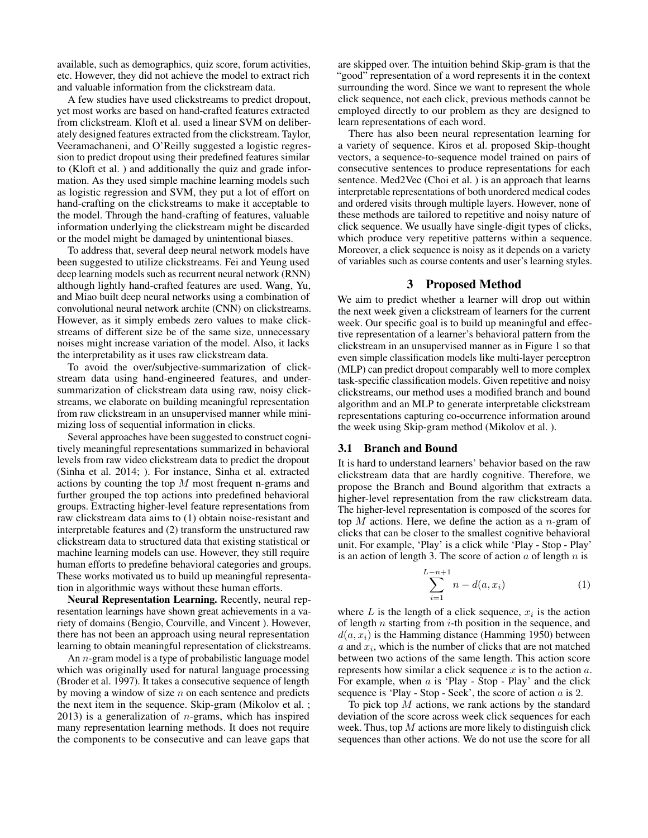available, such as demographics, quiz score, forum activities, etc. However, they did not achieve the model to extract rich and valuable information from the clickstream data.

A few studies have used clickstreams to predict dropout, yet most works are based on hand-crafted features extracted from clickstream. Kloft et al. used a linear SVM on deliberately designed features extracted from the clickstream. Taylor, Veeramachaneni, and O'Reilly suggested a logistic regression to predict dropout using their predefined features similar to (Kloft et al. ) and additionally the quiz and grade information. As they used simple machine learning models such as logistic regression and SVM, they put a lot of effort on hand-crafting on the clickstreams to make it acceptable to the model. Through the hand-crafting of features, valuable information underlying the clickstream might be discarded or the model might be damaged by unintentional biases.

To address that, several deep neural network models have been suggested to utilize clickstreams. Fei and Yeung used deep learning models such as recurrent neural network (RNN) although lightly hand-crafted features are used. Wang, Yu, and Miao built deep neural networks using a combination of convolutional neural network archite (CNN) on clickstreams. However, as it simply embeds zero values to make clickstreams of different size be of the same size, unnecessary noises might increase variation of the model. Also, it lacks the interpretability as it uses raw clickstream data.

To avoid the over/subjective-summarization of clickstream data using hand-engineered features, and undersummarization of clickstream data using raw, noisy clickstreams, we elaborate on building meaningful representation from raw clickstream in an unsupervised manner while minimizing loss of sequential information in clicks.

Several approaches have been suggested to construct cognitively meaningful representations summarized in behavioral levels from raw video clickstream data to predict the dropout (Sinha et al. 2014; ). For instance, Sinha et al. extracted actions by counting the top M most frequent n-grams and further grouped the top actions into predefined behavioral groups. Extracting higher-level feature representations from raw clickstream data aims to (1) obtain noise-resistant and interpretable features and (2) transform the unstructured raw clickstream data to structured data that existing statistical or machine learning models can use. However, they still require human efforts to predefine behavioral categories and groups. These works motivated us to build up meaningful representation in algorithmic ways without these human efforts.

Neural Representation Learning. Recently, neural representation learnings have shown great achievements in a variety of domains (Bengio, Courville, and Vincent ). However, there has not been an approach using neural representation learning to obtain meaningful representation of clickstreams.

An  $n$ -gram model is a type of probabilistic language model which was originally used for natural language processing (Broder et al. 1997). It takes a consecutive sequence of length by moving a window of size  $n$  on each sentence and predicts the next item in the sequence. Skip-gram (Mikolov et al. ; 2013) is a generalization of  $n$ -grams, which has inspired many representation learning methods. It does not require the components to be consecutive and can leave gaps that

are skipped over. The intuition behind Skip-gram is that the "good" representation of a word represents it in the context surrounding the word. Since we want to represent the whole click sequence, not each click, previous methods cannot be employed directly to our problem as they are designed to learn representations of each word.

There has also been neural representation learning for a variety of sequence. Kiros et al. proposed Skip-thought vectors, a sequence-to-sequence model trained on pairs of consecutive sentences to produce representations for each sentence. Med2Vec (Choi et al. ) is an approach that learns interpretable representations of both unordered medical codes and ordered visits through multiple layers. However, none of these methods are tailored to repetitive and noisy nature of click sequence. We usually have single-digit types of clicks, which produce very repetitive patterns within a sequence. Moreover, a click sequence is noisy as it depends on a variety of variables such as course contents and user's learning styles.

## 3 Proposed Method

We aim to predict whether a learner will drop out within the next week given a clickstream of learners for the current week. Our specific goal is to build up meaningful and effective representation of a learner's behavioral pattern from the clickstream in an unsupervised manner as in Figure 1 so that even simple classification models like multi-layer perceptron (MLP) can predict dropout comparably well to more complex task-specific classification models. Given repetitive and noisy clickstreams, our method uses a modified branch and bound algorithm and an MLP to generate interpretable clickstream representations capturing co-occurrence information around the week using Skip-gram method (Mikolov et al. ).

#### 3.1 Branch and Bound

It is hard to understand learners' behavior based on the raw clickstream data that are hardly cognitive. Therefore, we propose the Branch and Bound algorithm that extracts a higher-level representation from the raw clickstream data. The higher-level representation is composed of the scores for top  $M$  actions. Here, we define the action as a n-gram of clicks that can be closer to the smallest cognitive behavioral unit. For example, 'Play' is a click while 'Play - Stop - Play' is an action of length 3. The score of action  $a$  of length  $n$  is

$$
\sum_{i=1}^{L-n+1} n - d(a, x_i)
$$
 (1)

where  $L$  is the length of a click sequence,  $x_i$  is the action of length  $n$  starting from  $i$ -th position in the sequence, and  $d(a, x_i)$  is the Hamming distance (Hamming 1950) between  $a$  and  $x_i$ , which is the number of clicks that are not matched between two actions of the same length. This action score represents how similar a click sequence  $x$  is to the action  $a$ . For example, when  $a$  is 'Play - Stop - Play' and the click sequence is 'Play - Stop - Seek', the score of action  $a$  is 2.

To pick top  $M$  actions, we rank actions by the standard deviation of the score across week click sequences for each week. Thus, top  $M$  actions are more likely to distinguish click sequences than other actions. We do not use the score for all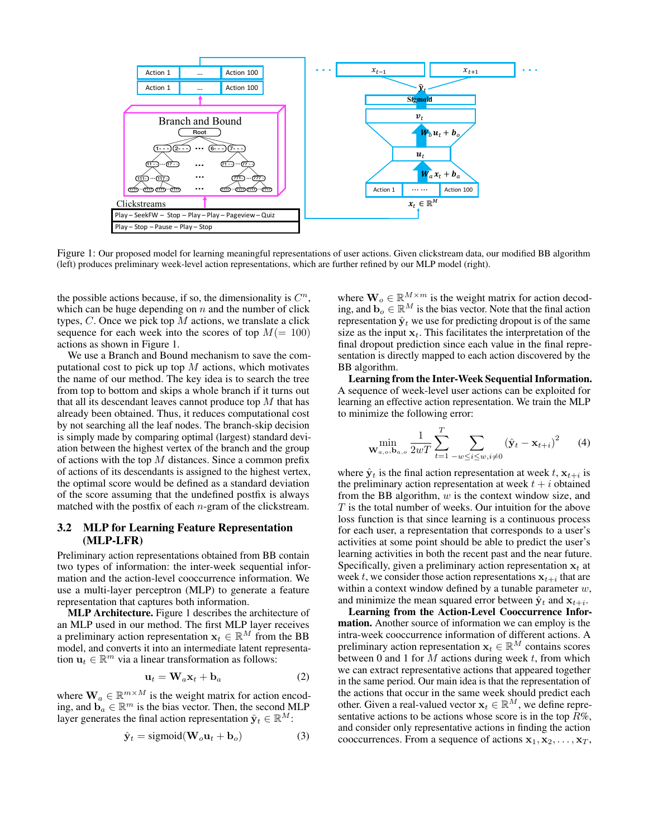

Figure 1: Our proposed model for learning meaningful representations of user actions. Given clickstream data, our modified BB algorithm (left) produces preliminary week-level action representations, which are further refined by our MLP model (right).

the possible actions because, if so, the dimensionality is  $C<sup>n</sup>$ , which can be huge depending on  $n$  and the number of click types,  $C$ . Once we pick top  $M$  actions, we translate a click sequence for each week into the scores of top  $M(= 100)$ actions as shown in Figure 1.

We use a Branch and Bound mechanism to save the computational cost to pick up top  $M$  actions, which motivates the name of our method. The key idea is to search the tree from top to bottom and skips a whole branch if it turns out that all its descendant leaves cannot produce top  $M$  that has already been obtained. Thus, it reduces computational cost by not searching all the leaf nodes. The branch-skip decision is simply made by comparing optimal (largest) standard deviation between the highest vertex of the branch and the group of actions with the top  $M$  distances. Since a common prefix of actions of its descendants is assigned to the highest vertex, the optimal score would be defined as a standard deviation of the score assuming that the undefined postfix is always matched with the postfix of each  $n$ -gram of the clickstream.

## 3.2 MLP for Learning Feature Representation (MLP-LFR)

Preliminary action representations obtained from BB contain two types of information: the inter-week sequential information and the action-level cooccurrence information. We use a multi-layer perceptron (MLP) to generate a feature representation that captures both information.

MLP Architecture. Figure 1 describes the architecture of an MLP used in our method. The first MLP layer receives a preliminary action representation  $x_t \in \mathbb{R}^M$  from the BB model, and converts it into an intermediate latent representation  $\mathbf{u}_t \in \mathbb{R}^m$  via a linear transformation as follows:

$$
\mathbf{u}_t = \mathbf{W}_a \mathbf{x}_t + \mathbf{b}_a \tag{2}
$$

where  $\mathbf{W}_a \in \mathbb{R}^{m \times M}$  is the weight matrix for action encoding, and  $\mathbf{b}_a \in \mathbb{R}^m$  is the bias vector. Then, the second MLP layer generates the final action representation  $\hat{\mathbf{y}}_t \in \mathbb{R}^M$ :

$$
\hat{\mathbf{y}}_t = \text{sigmoid}(\mathbf{W}_o \mathbf{u}_t + \mathbf{b}_o) \tag{3}
$$

where  $\mathbf{W}_o \in \mathbb{R}^{M \times m}$  is the weight matrix for action decoding, and  $\mathbf{b}_o \in \mathbb{R}^M$  is the bias vector. Note that the final action representation  $\hat{\mathbf{y}}_t$  we use for predicting dropout is of the same size as the input  $x_t$ . This facilitates the interpretation of the final dropout prediction since each value in the final representation is directly mapped to each action discovered by the BB algorithm.

Learning from the Inter-Week Sequential Information. A sequence of week-level user actions can be exploited for learning an effective action representation. We train the MLP to minimize the following error:

$$
\min_{\mathbf{W}_{a,o},\mathbf{b}_{a,o}} \frac{1}{2wT} \sum_{t=1}^{T} \sum_{-w \le i \le w, i \neq 0} (\hat{\mathbf{y}}_t - \mathbf{x}_{t+i})^2
$$
 (4)

where  $\hat{\mathbf{y}}_t$  is the final action representation at week t,  $\mathbf{x}_{t+i}$  is the preliminary action representation at week  $t + i$  obtained from the BB algorithm,  $w$  is the context window size, and T is the total number of weeks. Our intuition for the above loss function is that since learning is a continuous process for each user, a representation that corresponds to a user's activities at some point should be able to predict the user's learning activities in both the recent past and the near future. Specifically, given a preliminary action representation  $x_t$  at week t, we consider those action representations  $x_{t+i}$  that are within a context window defined by a tunable parameter  $w$ , and minimize the mean squared error between  $\hat{\mathbf{y}}_t$  and  $\mathbf{x}_{t+i}$ .

Learning from the Action-Level Cooccurrence Information. Another source of information we can employ is the intra-week cooccurrence information of different actions. A preliminary action representation  $x_t \in \mathbb{R}^M$  contains scores between 0 and 1 for  $M$  actions during week  $t$ , from which we can extract representative actions that appeared together in the same period. Our main idea is that the representation of the actions that occur in the same week should predict each other. Given a real-valued vector  $\mathbf{x}_t \in \mathbb{R}^M$ , we define representative actions to be actions whose score is in the top  $R\%$ , and consider only representative actions in finding the action cooccurrences. From a sequence of actions  $x_1, x_2, \ldots, x_T$ ,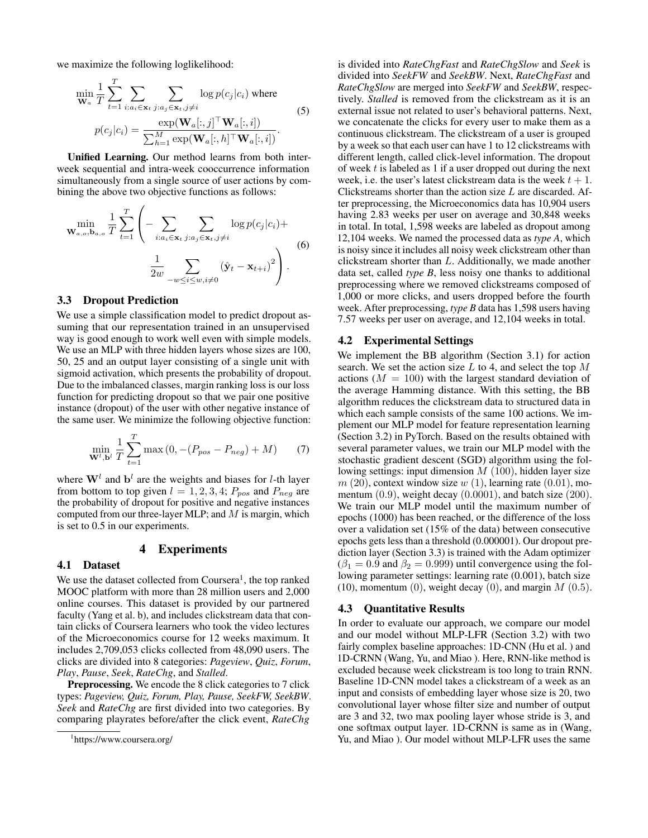we maximize the following loglikelihood:

 $\overline{f}$ 

$$
\min_{\mathbf{W}_a} \frac{1}{T} \sum_{t=1}^I \sum_{i:a_i \in \mathbf{x}_t} \sum_{j:a_j \in \mathbf{x}_t, j \neq i} \log p(c_j|c_i) \text{ where}
$$
\n
$$
p(c_j|c_i) = \frac{\exp(\mathbf{W}_a[:,j]^{\top} \mathbf{W}_a[:,i])}{\sum_{h=1}^M \exp(\mathbf{W}_a[:,h]^{\top} \mathbf{W}_a[:,i])}.
$$
\n(5)

Unified Learning. Our method learns from both interweek sequential and intra-week cooccurrence information simultaneously from a single source of user actions by combining the above two objective functions as follows:

$$
\min_{\mathbf{w}_{a,o},\mathbf{b}_{a,o}} \frac{1}{T} \sum_{t=1}^{T} \left( -\sum_{i:a_i \in \mathbf{x}_t} \sum_{j:a_j \in \mathbf{x}_t, j \neq i} \log p(c_j|c_i) + \frac{1}{2w} \sum_{-w \leq i \leq w, i \neq 0} (\hat{\mathbf{y}}_t - \mathbf{x}_{t+i})^2 \right). \tag{6}
$$

## 3.3 Dropout Prediction

We use a simple classification model to predict dropout assuming that our representation trained in an unsupervised way is good enough to work well even with simple models. We use an MLP with three hidden layers whose sizes are 100, 50, 25 and an output layer consisting of a single unit with sigmoid activation, which presents the probability of dropout. Due to the imbalanced classes, margin ranking loss is our loss function for predicting dropout so that we pair one positive instance (dropout) of the user with other negative instance of the same user. We minimize the following objective function:

$$
\min_{\mathbf{W}^l, \mathbf{b}^l} \frac{1}{T} \sum_{t=1}^T \max(0, -(P_{pos} - P_{neg}) + M) \tag{7}
$$

where  $W<sup>l</sup>$  and  $b<sup>l</sup>$  are the weights and biases for *l*-th layer from bottom to top given  $l = 1, 2, 3, 4$ ;  $P_{pos}$  and  $P_{neg}$  are the probability of dropout for positive and negative instances computed from our three-layer MLP; and  $M$  is margin, which is set to 0.5 in our experiments.

#### 4 Experiments

## 4.1 Dataset

We use the dataset collected from Coursera<sup>1</sup>, the top ranked MOOC platform with more than 28 million users and 2,000 online courses. This dataset is provided by our partnered faculty (Yang et al. b), and includes clickstream data that contain clicks of Coursera learners who took the video lectures of the Microeconomics course for 12 weeks maximum. It includes 2,709,053 clicks collected from 48,090 users. The clicks are divided into 8 categories: *Pageview*, *Quiz*, *Forum*, *Play*, *Pause*, *Seek*, *RateChg*, and *Stalled*.

Preprocessing. We encode the 8 click categories to 7 click types: *Pageview, Quiz, Forum, Play, Pause, SeekFW, SeekBW*. *Seek* and *RateChg* are first divided into two categories. By comparing playrates before/after the click event, *RateChg*

is divided into *RateChgFast* and *RateChgSlow* and *Seek* is divided into *SeekFW* and *SeekBW*. Next, *RateChgFast* and *RateChgSlow* are merged into *SeekFW* and *SeekBW*, respectively. *Stalled* is removed from the clickstream as it is an external issue not related to user's behavioral patterns. Next, we concatenate the clicks for every user to make them as a continuous clickstream. The clickstream of a user is grouped by a week so that each user can have 1 to 12 clickstreams with different length, called click-level information. The dropout of week  $t$  is labeled as 1 if a user dropped out during the next week, i.e. the user's latest clickstream data is the week  $t + 1$ . Clickstreams shorter than the action size  $L$  are discarded. After preprocessing, the Microeconomics data has 10,904 users having 2.83 weeks per user on average and 30,848 weeks in total. In total, 1,598 weeks are labeled as dropout among 12,104 weeks. We named the processed data as *type A*, which is noisy since it includes all noisy week clickstream other than clickstream shorter than L. Additionally, we made another data set, called *type B*, less noisy one thanks to additional preprocessing where we removed clickstreams composed of 1,000 or more clicks, and users dropped before the fourth week. After preprocessing, *type B* data has 1,598 users having 7.57 weeks per user on average, and 12,104 weeks in total.

#### 4.2 Experimental Settings

We implement the BB algorithm (Section 3.1) for action search. We set the action size  $L$  to 4, and select the top  $M$ actions  $(M = 100)$  with the largest standard deviation of the average Hamming distance. With this setting, the BB algorithm reduces the clickstream data to structured data in which each sample consists of the same 100 actions. We implement our MLP model for feature representation learning (Section 3.2) in PyTorch. Based on the results obtained with several parameter values, we train our MLP model with the stochastic gradient descent (SGD) algorithm using the following settings: input dimension  $M(100)$ , hidden layer size  $m(20)$ , context window size  $w(1)$ , learning rate  $(0.01)$ , momentum  $(0.9)$ , weight decay  $(0.0001)$ , and batch size  $(200)$ . We train our MLP model until the maximum number of epochs (1000) has been reached, or the difference of the loss over a validation set (15% of the data) between consecutive epochs gets less than a threshold (0.000001). Our dropout prediction layer (Section 3.3) is trained with the Adam optimizer  $(\beta_1 = 0.9$  and  $\beta_2 = 0.999$ ) until convergence using the following parameter settings: learning rate (0.001), batch size (10), momentum (0), weight decay (0), and margin  $M$  (0.5).

#### 4.3 Quantitative Results

In order to evaluate our approach, we compare our model and our model without MLP-LFR (Section 3.2) with two fairly complex baseline approaches: 1D-CNN (Hu et al. ) and 1D-CRNN (Wang, Yu, and Miao ). Here, RNN-like method is excluded because week clickstream is too long to train RNN. Baseline 1D-CNN model takes a clickstream of a week as an input and consists of embedding layer whose size is 20, two convolutional layer whose filter size and number of output are 3 and 32, two max pooling layer whose stride is 3, and one softmax output layer. 1D-CRNN is same as in (Wang, Yu, and Miao ). Our model without MLP-LFR uses the same

<sup>1</sup> https://www.coursera.org/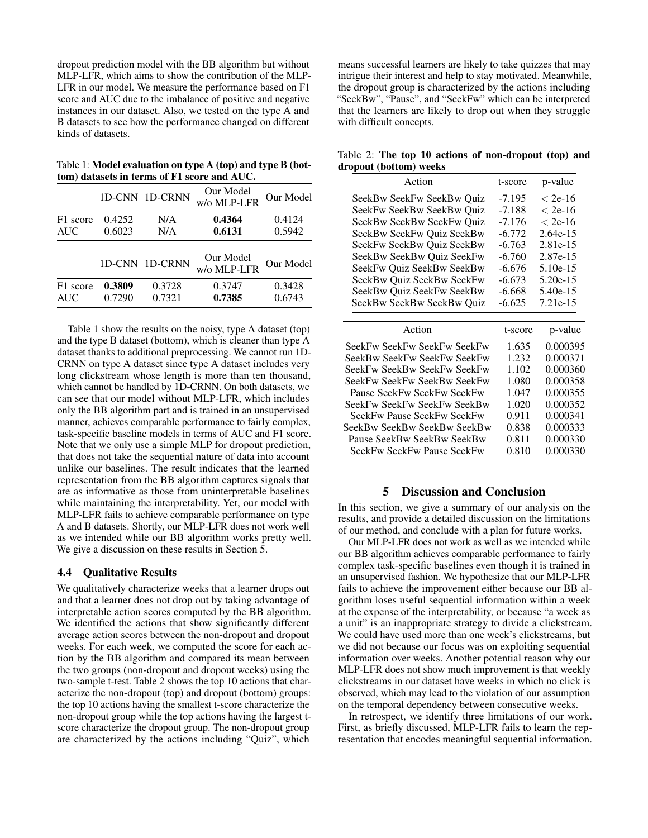dropout prediction model with the BB algorithm but without MLP-LFR, which aims to show the contribution of the MLP-LFR in our model. We measure the performance based on F1 score and AUC due to the imbalance of positive and negative instances in our dataset. Also, we tested on the type A and B datasets to see how the performance changed on different kinds of datasets.

Table 1: Model evaluation on type A (top) and type B (bottom) datasets in terms of F1 score and AUC.

|            |        | 1D-CNN 1D-CRNN | Our Model<br>w/o MLP-LFR | Our Model |
|------------|--------|----------------|--------------------------|-----------|
| F1 score   | 0.4252 | N/A            | 0.4364                   | 0.4124    |
| <b>AUC</b> | 0.6023 | N/A            | 0.6131                   | 0.5942    |
|            |        | 1D-CNN 1D-CRNN | Our Model<br>w/o MLP-LFR | Our Model |
| F1 score   | 0.3809 | 0.3728         | 0.3747                   | 0.3428    |
| <b>AUC</b> | 0.7290 | 0.7321         | 0.7385                   | 0.6743    |

Table 1 show the results on the noisy, type A dataset (top) and the type B dataset (bottom), which is cleaner than type A dataset thanks to additional preprocessing. We cannot run 1D-CRNN on type A dataset since type A dataset includes very long clickstream whose length is more than ten thousand, which cannot be handled by 1D-CRNN. On both datasets, we can see that our model without MLP-LFR, which includes only the BB algorithm part and is trained in an unsupervised manner, achieves comparable performance to fairly complex, task-specific baseline models in terms of AUC and F1 score. Note that we only use a simple MLP for dropout prediction, that does not take the sequential nature of data into account unlike our baselines. The result indicates that the learned representation from the BB algorithm captures signals that are as informative as those from uninterpretable baselines while maintaining the interpretability. Yet, our model with MLP-LFR fails to achieve comparable performance on type A and B datasets. Shortly, our MLP-LFR does not work well as we intended while our BB algorithm works pretty well. We give a discussion on these results in Section 5.

## 4.4 Qualitative Results

We qualitatively characterize weeks that a learner drops out and that a learner does not drop out by taking advantage of interpretable action scores computed by the BB algorithm. We identified the actions that show significantly different average action scores between the non-dropout and dropout weeks. For each week, we computed the score for each action by the BB algorithm and compared its mean between the two groups (non-dropout and dropout weeks) using the two-sample t-test. Table 2 shows the top 10 actions that characterize the non-dropout (top) and dropout (bottom) groups: the top 10 actions having the smallest t-score characterize the non-dropout group while the top actions having the largest tscore characterize the dropout group. The non-dropout group are characterized by the actions including "Quiz", which

means successful learners are likely to take quizzes that may intrigue their interest and help to stay motivated. Meanwhile, the dropout group is characterized by the actions including "SeekBw", "Pause", and "SeekFw" which can be interpreted that the learners are likely to drop out when they struggle with difficult concepts.

Table 2: The top 10 actions of non-dropout (top) and dropout (bottom) weeks

| Action                      | t-score  | p-value    |
|-----------------------------|----------|------------|
| SeekBw SeekFw SeekBw Quiz   | $-7.195$ | $<$ 2e-16  |
| SeekFw SeekBw SeekBw Ouiz   | -7.188   | $< 2e-16$  |
| SeekBw SeekBw SeekFw Quiz   | -7.176   | $< 2e-16$  |
| SeekBw SeekFw Quiz SeekBw   | $-6.772$ | 2.64e-15   |
| SeekFw SeekBw Quiz SeekBw   | $-6.763$ | 2.81e-15   |
| SeekBw SeekBw Quiz SeekFw   | $-6.760$ | 2.87e-15   |
| SeekFw Quiz SeekBw SeekBw   | $-6.676$ | $5.10e-15$ |
| SeekBw Quiz SeekBw SeekFw   | $-6.673$ | 5.20e-15   |
| SeekBw Quiz SeekFw SeekBw   | $-6.668$ | 5.40e-15   |
| SeekBw SeekBw SeekBw Quiz   | $-6.625$ | 7.21e-15   |
| Action                      | t-score  | p-value    |
|                             |          |            |
| SeekFw SeekFw SeekFw SeekFw | 1.635    | 0.000395   |
| SeekBw SeekFw SeekFw SeekFw | 1.232    | 0.000371   |
| SeekFw SeekBw SeekFw SeekFw | 1.102    | 0.000360   |
| SeekFw SeekFw SeekBw SeekFw | 1.080    | 0.000358   |
| Pause SeekFw SeekFw SeekFw  | 1.047    | 0.000355   |
| SeekFw SeekFw SeekFw SeekBw | 1.020    | 0.000352   |
| SeekFw Pause SeekFw SeekFw  | 0.911    | 0.000341   |
| SeekBw SeekBw SeekBw SeekBw | 0.838    | 0.000333   |
| Pause SeekBw SeekBw SeekBw  | 0.811    | 0.000330   |

#### 5 Discussion and Conclusion

In this section, we give a summary of our analysis on the results, and provide a detailed discussion on the limitations of our method, and conclude with a plan for future works.

Our MLP-LFR does not work as well as we intended while our BB algorithm achieves comparable performance to fairly complex task-specific baselines even though it is trained in an unsupervised fashion. We hypothesize that our MLP-LFR fails to achieve the improvement either because our BB algorithm loses useful sequential information within a week at the expense of the interpretability, or because "a week as a unit" is an inappropriate strategy to divide a clickstream. We could have used more than one week's clickstreams, but we did not because our focus was on exploiting sequential information over weeks. Another potential reason why our MLP-LFR does not show much improvement is that weekly clickstreams in our dataset have weeks in which no click is observed, which may lead to the violation of our assumption on the temporal dependency between consecutive weeks.

In retrospect, we identify three limitations of our work. First, as briefly discussed, MLP-LFR fails to learn the representation that encodes meaningful sequential information.